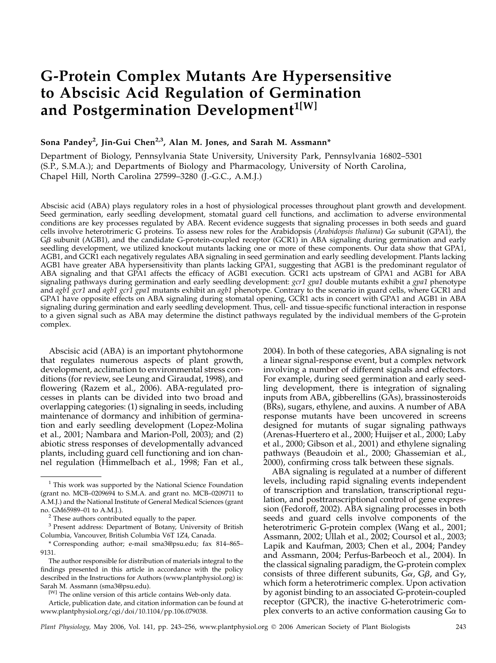# G-Protein Complex Mutants Are Hypersensitive to Abscisic Acid Regulation of Germination and Postgermination Development<sup>1[W]</sup>

## Sona Pandey<sup>2</sup>, Jin-Gui Chen<sup>2,3</sup>, Alan M. Jones, and Sarah M. Assmann\*

Department of Biology, Pennsylvania State University, University Park, Pennsylvania 16802–5301 (S.P., S.M.A.); and Departments of Biology and Pharmacology, University of North Carolina, Chapel Hill, North Carolina 27599–3280 (J.-G.C., A.M.J.)

Abscisic acid (ABA) plays regulatory roles in a host of physiological processes throughout plant growth and development. Seed germination, early seedling development, stomatal guard cell functions, and acclimation to adverse environmental conditions are key processes regulated by ABA. Recent evidence suggests that signaling processes in both seeds and guard cells involve heterotrimeric G proteins. To assess new roles for the Arabidopsis (Arabidopsis thaliana) G $\alpha$  subunit (GPA1), the  $G\beta$  subunit (AGB1), and the candidate G-protein-coupled receptor (GCR1) in ABA signaling during germination and early seedling development, we utilized knockout mutants lacking one or more of these components. Our data show that GPA1, AGB1, and GCR1 each negatively regulates ABA signaling in seed germination and early seedling development. Plants lacking AGB1 have greater ABA hypersensitivity than plants lacking GPA1, suggesting that AGB1 is the predominant regulator of ABA signaling and that GPA1 affects the efficacy of AGB1 execution. GCR1 acts upstream of GPA1 and AGB1 for ABA signaling pathways during germination and early seedling development:  $gcr1 gpa1$  double mutants exhibit a gpa1 phenotype and agb1 gcr1 and agb1 gcr1 gpa1 mutants exhibit an agb1 phenotype. Contrary to the scenario in guard cells, where GCR1 and GPA1 have opposite effects on ABA signaling during stomatal opening, GCR1 acts in concert with GPA1 and AGB1 in ABA signaling during germination and early seedling development. Thus, cell- and tissue-specific functional interaction in response to a given signal such as ABA may determine the distinct pathways regulated by the individual members of the G-protein complex.

Abscisic acid (ABA) is an important phytohormone that regulates numerous aspects of plant growth, development, acclimation to environmental stress conditions (for review, see Leung and Giraudat, 1998), and flowering (Razem et al., 2006). ABA-regulated processes in plants can be divided into two broad and overlapping categories: (1) signaling in seeds, including maintenance of dormancy and inhibition of germination and early seedling development (Lopez-Molina et al., 2001; Nambara and Marion-Poll, 2003); and (2) abiotic stress responses of developmentally advanced plants, including guard cell functioning and ion channel regulation (Himmelbach et al., 1998; Fan et al., 2004). In both of these categories, ABA signaling is not a linear signal-response event, but a complex network involving a number of different signals and effectors. For example, during seed germination and early seedling development, there is integration of signaling inputs from ABA, gibberellins (GAs), brassinosteroids (BRs), sugars, ethylene, and auxins. A number of ABA response mutants have been uncovered in screens designed for mutants of sugar signaling pathways (Arenas-Huertero et al., 2000; Huijser et al., 2000; Laby et al., 2000; Gibson et al., 2001) and ethylene signaling pathways (Beaudoin et al., 2000; Ghassemian et al., 2000), confirming cross talk between these signals.

ABA signaling is regulated at a number of different levels, including rapid signaling events independent of transcription and translation, transcriptional regulation, and posttranscriptional control of gene expression (Fedoroff, 2002). ABA signaling processes in both seeds and guard cells involve components of the heterotrimeric G-protein complex (Wang et al., 2001; Assmann, 2002; Ullah et al., 2002; Coursol et al., 2003; Lapik and Kaufman, 2003; Chen et al., 2004; Pandey and Assmann, 2004; Perfus-Barbeoch et al., 2004). In the classical signaling paradigm, the G-protein complex consists of three different subunits,  $G\alpha$ ,  $G\beta$ , and  $G\gamma$ , which form a heterotrimeric complex. Upon activation by agonist binding to an associated G-protein-coupled receptor (GPCR), the inactive G-heterotrimeric complex converts to an active conformation causing  $G\alpha$  to

Plant Physiology, May 2006, Vol. 141, pp. 243–256, www.plantphysiol.org © 2006 American Society of Plant Biologists 243

 $1$  This work was supported by the National Science Foundation (grant no. MCB–0209694 to S.M.A. and grant no. MCB–0209711 to A.M.J.) and the National Institute of General Medical Sciences (grant no. GM65989–01 to A.M.J.).<br><sup>2</sup> These authors contributed equally to the paper.

<sup>&</sup>lt;sup>3</sup> Present address: Department of Botany, University of British Columbia, Vancouver, British Columbia V6T 1Z4, Canada.

<sup>\*</sup> Corresponding author; e-mail sma3@psu.edu; fax 814–865– 9131.

The author responsible for distribution of materials integral to the findings presented in this article in accordance with the policy described in the Instructions for Authors (www.plantphysiol.org) is: Sarah M. Assmann (sma3@psu.edu).

<sup>&</sup>lt;sup>[W]</sup> The online version of this article contains Web-only data.

Article, publication date, and citation information can be found at www.plantphysiol.org/cgi/doi/10.1104/pp.106.079038.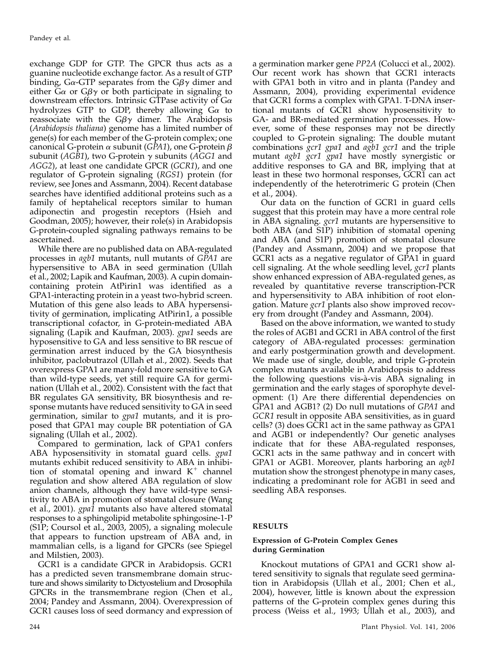exchange GDP for GTP. The GPCR thus acts as a guanine nucleotide exchange factor. As a result of GTP binding, G $\alpha$ -GTP separates from the G $\beta\gamma$  dimer and either G $\alpha$  or G $\beta\gamma$  or both participate in signaling to downstream effectors. Intrinsic GTPase activity of  $G\alpha$ hydrolyzes GTP to GDP, thereby allowing  $Ga$  to reassociate with the  $G\beta\gamma$  dimer. The Arabidopsis (Arabidopsis thaliana) genome has a limited number of gene(s) for each member of the G-protein complex; one canonical G-protein  $\alpha$  subunit (GPA1), one G-protein  $\beta$ subunit (AGB1), two G-protein  $\gamma$  subunits (AGG1 and AGG2), at least one candidate GPCR (GCR1), and one regulator of G-protein signaling (RGS1) protein (for review, see Jones and Assmann, 2004). Recent database searches have identified additional proteins such as a family of heptahelical receptors similar to human adiponectin and progestin receptors (Hsieh and Goodman, 2005); however, their role(s) in Arabidopsis G-protein-coupled signaling pathways remains to be ascertained.

While there are no published data on ABA-regulated processes in *agb1* mutants, null mutants of GPA1 are hypersensitive to ABA in seed germination (Ullah et al., 2002; Lapik and Kaufman, 2003). A cupin domaincontaining protein AtPirin1 was identified as a GPA1-interacting protein in a yeast two-hybrid screen. Mutation of this gene also leads to ABA hypersensitivity of germination, implicating AtPirin1, a possible transcriptional cofactor, in G-protein-mediated ABA signaling (Lapik and Kaufman, 2003). gpa1 seeds are hyposensitive to GA and less sensitive to BR rescue of germination arrest induced by the GA biosynthesis inhibitor, paclobutrazol (Ullah et al., 2002). Seeds that overexpress GPA1 are many-fold more sensitive to GA than wild-type seeds, yet still require GA for germination (Ullah et al., 2002). Consistent with the fact that BR regulates GA sensitivity, BR biosynthesis and response mutants have reduced sensitivity to GA in seed germination, similar to gpa1 mutants, and it is proposed that GPA1 may couple BR potentiation of GA signaling (Ullah et al., 2002).

Compared to germination, lack of GPA1 confers ABA hyposensitivity in stomatal guard cells. gpa1 mutants exhibit reduced sensitivity to ABA in inhibition of stomatal opening and inward  $K^+$  channel regulation and show altered ABA regulation of slow anion channels, although they have wild-type sensitivity to ABA in promotion of stomatal closure (Wang et al., 2001). gpa1 mutants also have altered stomatal responses to a sphingolipid metabolite sphingosine-1-P (S1P; Coursol et al., 2003, 2005), a signaling molecule that appears to function upstream of ABA and, in mammalian cells, is a ligand for GPCRs (see Spiegel and Milstien, 2003).

GCR1 is a candidate GPCR in Arabidopsis. GCR1 has a predicted seven transmembrane domain structure and shows similarity to Dictyostelium and Drosophila GPCRs in the transmembrane region (Chen et al., 2004; Pandey and Assmann, 2004). Overexpression of GCR1 causes loss of seed dormancy and expression of

a germination marker gene PP2A (Colucci et al., 2002). Our recent work has shown that GCR1 interacts with GPA1 both in vitro and in planta (Pandey and Assmann, 2004), providing experimental evidence that GCR1 forms a complex with GPA1. T-DNA insertional mutants of GCR1 show hyposensitivity to GA- and BR-mediated germination processes. However, some of these responses may not be directly coupled to G-protein signaling: The double mutant combinations gcr1 gpa1 and agb1 gcr1 and the triple mutant agb1 gcr1 gpa1 have mostly synergistic or additive responses to GA and BR, implying that at least in these two hormonal responses, GCR1 can act independently of the heterotrimeric G protein (Chen et al., 2004).

Our data on the function of GCR1 in guard cells suggest that this protein may have a more central role in ABA signaling. gcr1 mutants are hypersensitive to both ABA (and S1P) inhibition of stomatal opening and ABA (and S1P) promotion of stomatal closure (Pandey and Assmann, 2004) and we propose that GCR1 acts as a negative regulator of GPA1 in guard cell signaling. At the whole seedling level, gcr1 plants show enhanced expression of ABA-regulated genes, as revealed by quantitative reverse transcription-PCR and hypersensitivity to ABA inhibition of root elongation. Mature *gcr1* plants also show improved recovery from drought (Pandey and Assmann, 2004).

Based on the above information, we wanted to study the roles of AGB1 and GCR1 in ABA control of the first category of ABA-regulated processes: germination and early postgermination growth and development. We made use of single, double, and triple G-protein complex mutants available in Arabidopsis to address the following questions vis-a`-vis ABA signaling in germination and the early stages of sporophyte development: (1) Are there differential dependencies on GPA1 and AGB1? (2) Do null mutations of GPA1 and GCR1 result in opposite ABA sensitivities, as in guard cells? (3) does GCR1 act in the same pathway as GPA1 and AGB1 or independently? Our genetic analyses indicate that for these ABA-regulated responses, GCR1 acts in the same pathway and in concert with GPA1 or AGB1. Moreover, plants harboring an agb1 mutation show the strongest phenotype in many cases, indicating a predominant role for AGB1 in seed and seedling ABA responses.

## RESULTS

## Expression of G-Protein Complex Genes during Germination

Knockout mutations of GPA1 and GCR1 show altered sensitivity to signals that regulate seed germination in Arabidopsis (Ullah et al., 2001; Chen et al., 2004), however, little is known about the expression patterns of the G-protein complex genes during this process (Weiss et al., 1993; Ullah et al., 2003), and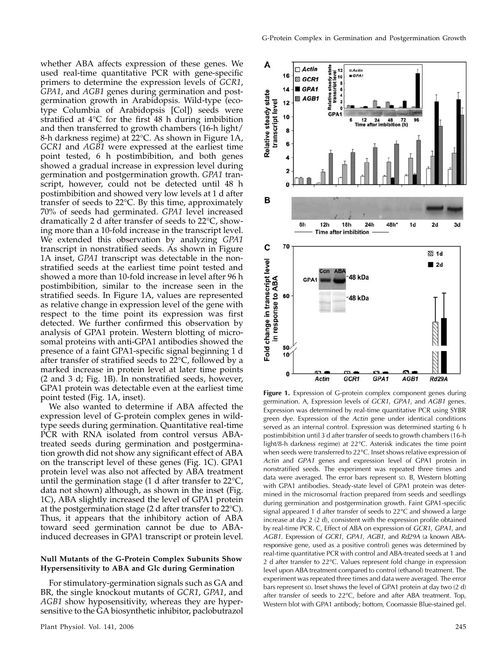whether ABA affects expression of these genes. We used real-time quantitative PCR with gene-specific primers to determine the expression levels of GCR1, GPA1, and AGB1 genes during germination and postgermination growth in Arabidopsis. Wild-type (ecotype Columbia of Arabidopsis [Col]) seeds were stratified at 4°C for the first 48 h during imbibition and then transferred to growth chambers (16-h light/ 8-h darkness regime) at 22°C. As shown in Figure 1A, GCR1 and AGB1 were expressed at the earliest time point tested, 6 h postimbibition, and both genes showed a gradual increase in expression level during germination and postgermination growth. GPA1 transcript, however, could not be detected until 48 h postimbibition and showed very low levels at 1 d after transfer of seeds to 22°C. By this time, approximately 70% of seeds had germinated. GPA1 level increased dramatically 2 d after transfer of seeds to 22°C, showing more than a 10-fold increase in the transcript level. We extended this observation by analyzing GPA1 transcript in nonstratified seeds. As shown in Figure 1A inset, GPA1 transcript was detectable in the nonstratified seeds at the earliest time point tested and showed a more than 10-fold increase in level after 96 h postimbibition, similar to the increase seen in the stratified seeds. In Figure 1A, values are represented as relative change in expression level of the gene with respect to the time point its expression was first detected. We further confirmed this observation by analysis of GPA1 protein. Western blotting of microsomal proteins with anti-GPA1 antibodies showed the presence of a faint GPA1-specific signal beginning 1 d after transfer of stratified seeds to 22°C, followed by a marked increase in protein level at later time points (2 and 3 d; Fig. 1B). In nonstratified seeds, however, GPA1 protein was detectable even at the earliest time point tested (Fig. 1A, inset).

We also wanted to determine if ABA affected the expression level of G-protein complex genes in wildtype seeds during germination. Quantitative real-time PCR with RNA isolated from control versus ABAtreated seeds during germination and postgermination growth did not show any significant effect of ABA on the transcript level of these genes (Fig. 1C). GPA1 protein level was also not affected by ABA treatment until the germination stage (1 d after transfer to 22 $\rm ^oC$ , data not shown) although, as shown in the inset (Fig. 1C), ABA slightly increased the level of GPA1 protein at the postgermination stage (2 d after transfer to 22°C). Thus, it appears that the inhibitory action of ABA toward seed germination cannot be due to ABAinduced decreases in GPA1 transcript or protein level.

### Null Mutants of the G-Protein Complex Subunits Show Hypersensitivity to ABA and Glc during Germination

For stimulatory-germination signals such as GA and BR, the single knockout mutants of GCR1, GPA1, and AGB1 show hyposensitivity, whereas they are hypersensitive to the GA biosynthetic inhibitor, paclobutrazol



Figure 1. Expression of G-protein complex component genes during germination. A, Expression levels of GCR1, GPA1, and AGB1 genes. Expression was determined by real-time quantitative PCR using SYBR green dye. Expression of the Actin gene under identical conditions served as an internal control. Expression was determined starting 6 h postimbibition until 3 d after transfer of seeds to growth chambers (16-h light/8-h darkness regime) at 22°C. Asterisk indicates the time point when seeds were transferred to 22°C. Inset shows relative expression of Actin and GPA1 genes and expression level of GPA1 protein in nonstratified seeds. The experiment was repeated three times and data were averaged. The error bars represent sp. B, Western blotting with GPA1 antibodies. Steady-state level of GPA1 protein was determined in the microsomal fraction prepared from seeds and seedlings during germination and postgermination growth. Faint GPA1-specific signal appeared 1 d after transfer of seeds to 22°C and showed a large increase at day 2 (2 d), consistent with the expression profile obtained by real-time PCR. C, Effect of ABA on expression of GCR1, GPA1, and AGB1. Expression of GCR1, GPA1, AGB1, and Rd29A (a known ABAresponsive gene, used as a positive control) genes was determined by real-time quantitative PCR with control and ABA-treated seeds at 1 and 2 d after transfer to 22°C. Values represent fold change in expression level upon ABA treatment compared to control (ethanol) treatment. The experiment was repeated three times and data were averaged. The error bars represent sp. Inset shows the level of GPA1 protein at day two (2 d) after transfer of seeds to 22°C, before and after ABA treatment. Top, Western blot with GPA1 antibody; bottom, Coomassie Blue-stained gel.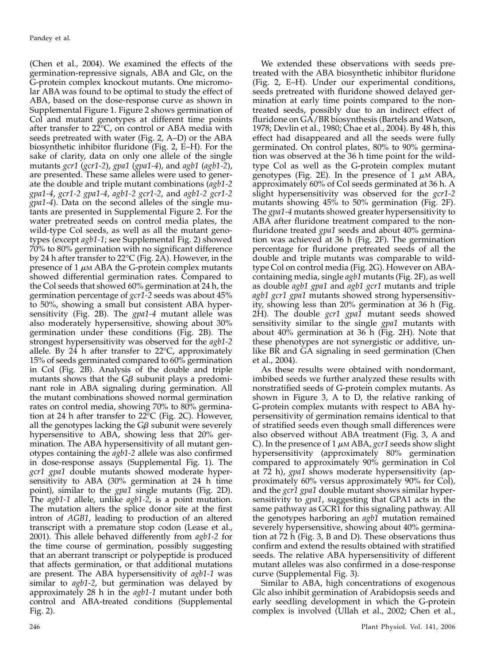(Chen et al., 2004). We examined the effects of the germination-repressive signals, ABA and Glc, on the G-protein complex knockout mutants. One micromolar ABA was found to be optimal to study the effect of ABA, based on the dose-response curve as shown in Supplemental Figure 1. Figure 2 shows germination of Col and mutant genotypes at different time points after transfer to 22°C, on control or ABA media with seeds pretreated with water (Fig. 2, A–D) or the ABA biosynthetic inhibitor fluridone (Fig. 2, E–H). For the sake of clarity, data on only one allele of the single mutants  $\text{gcr1}$  ( $\text{gcr1-2}$ ),  $\text{gpa1}$  ( $\text{gpa1-4}$ ), and  $\text{agb1}$  ( $\text{agb1-2}$ ), are presented. These same alleles were used to generate the double and triple mutant combinations  $(agb1-2)$ gpa1-4, gcr1-2 gpa1-4, agb1-2 gcr1-2, and agb1-2 gcr1-2 gpa1-4). Data on the second alleles of the single mutants are presented in Supplemental Figure 2. For the water pretreated seeds on control media plates, the wild-type Col seeds, as well as all the mutant genotypes (except agb1-1; see Supplemental Fig. 2) showed 70% to 80% germination with no significant difference by 24 h after transfer to 22°C (Fig. 2A). However, in the presence of  $1 \mu$ M ABA the G-protein complex mutants showed differential germination rates. Compared to the Col seeds that showed 60% germination at 24 h, the germination percentage of gcr1-2 seeds was about 45% to 50%, showing a small but consistent ABA hypersensitivity (Fig. 2B). The *gpa1-4* mutant allele was also moderately hypersensitive, showing about 30% germination under these conditions (Fig. 2B). The strongest hypersensitivity was observed for the agb1-2 allele. By 24  $h$  after transfer to 22°C, approximately 15% of seeds germinated compared to 60% germination in Col (Fig. 2B). Analysis of the double and triple mutants shows that the  $G\beta$  subunit plays a predominant role in ABA signaling during germination. All the mutant combinations showed normal germination rates on control media, showing 70% to 80% germination at 24 h after transfer to 22°C (Fig. 2C). However, all the genotypes lacking the  $G\beta$  subunit were severely hypersensitive to ABA, showing less that 20% germination. The ABA hypersensitivity of all mutant genotypes containing the agb1-2 allele was also confirmed in dose-response assays (Supplemental Fig. 1). The gcr1 gpa1 double mutants showed moderate hypersensitivity to ABA (30% germination at 24 h time point), similar to the gpa1 single mutants (Fig. 2D). The agb1-1 allele, unlike agb1-2, is a point mutation. The mutation alters the splice donor site at the first intron of AGB1, leading to production of an altered transcript with a premature stop codon (Lease et al., 2001). This allele behaved differently from agb1-2 for the time course of germination, possibly suggesting that an aberrant transcript or polypeptide is produced that affects germination, or that additional mutations are present. The ABA hypersensitivity of *agb1-1* was similar to agb1-2, but germination was delayed by approximately 28 h in the agb1-1 mutant under both control and ABA-treated conditions (Supplemental Fig. 2).

We extended these observations with seeds pretreated with the ABA biosynthetic inhibitor fluridone (Fig. 2, E–H). Under our experimental conditions, seeds pretreated with fluridone showed delayed germination at early time points compared to the nontreated seeds, possibly due to an indirect effect of fluridone on GA/BR biosynthesis (Bartels and Watson, 1978; Devlin et al., 1980; Chae et al., 2004). By 48 h, this effect had disappeared and all the seeds were fully germinated. On control plates, 80% to 90% germination was observed at the 36 h time point for the wildtype Col as well as the G-protein complex mutant genotypes (Fig. 2E). In the presence of 1  $\mu$ M ABA, approximately 60% of Col seeds germinated at 36 h. A slight hypersensitivity was observed for the *gcr*1-2 mutants showing 45% to 50% germination (Fig. 2F). The gpa1-4 mutants showed greater hypersensitivity to ABA after fluridone treatment compared to the nonfluridone treated *gpa1* seeds and about 40% germination was achieved at 36 h (Fig. 2F). The germination percentage for fluridone pretreated seeds of all the double and triple mutants was comparable to wildtype Col on control media (Fig. 2G). However on ABAcontaining media, single agb1 mutants (Fig. 2F), as well as double agb1 gpa1 and agb1 gcr1 mutants and triple agb1 gcr1 gpa1 mutants showed strong hypersensitivity, showing less than 20% germination at 36 h (Fig.  $2H$ ). The double *gcr1* gpa1 mutant seeds showed sensitivity similar to the single *gpa1* mutants with about 40% germination at 36 h (Fig. 2H). Note that these phenotypes are not synergistic or additive, unlike BR and GA signaling in seed germination (Chen et al., 2004).

As these results were obtained with nondormant, imbibed seeds we further analyzed these results with nonstratified seeds of G-protein complex mutants. As shown in Figure 3, A to D, the relative ranking of G-protein complex mutants with respect to ABA hypersensitivity of germination remains identical to that of stratified seeds even though small differences were also observed without ABA treatment (Fig. 3, A and C). In the presence of 1  $\mu$ M ABA, *gcr1* seeds show slight hypersensitivity (approximately 80% germination compared to approximately 90% germination in Col at 72 h), gpa1 shows moderate hypersensitivity (approximately 60% versus approximately 90% for Col), and the gcr1 gpa1 double mutant shows similar hypersensitivity to gpa1, suggesting that GPA1 acts in the same pathway as GCR1 for this signaling pathway. All the genotypes harboring an agb1 mutation remained severely hypersensitive, showing about 40% germination at 72 h (Fig. 3, B and D). These observations thus confirm and extend the results obtained with stratified seeds. The relative ABA hypersensitivity of different mutant alleles was also confirmed in a dose-response curve (Supplemental Fig. 3).

Similar to ABA, high concentrations of exogenous Glc also inhibit germination of Arabidopsis seeds and early seedling development in which the G-protein complex is involved (Ullah et al., 2002; Chen et al.,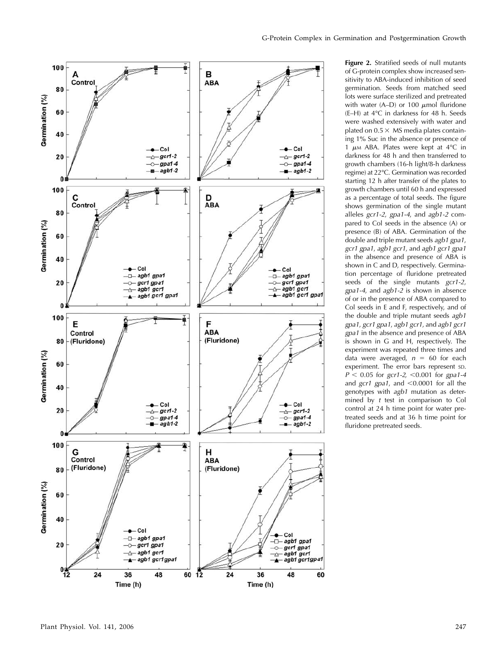

Figure 2. Stratified seeds of null mutants of G-protein complex show increased sensitivity to ABA-induced inhibition of seed germination. Seeds from matched seed lots were surface sterilized and pretreated with water (A–D) or 100  $\mu$ mol fluridone  $(E-H)$  at  $4^{\circ}C$  in darkness for  $48$  h. Seeds were washed extensively with water and plated on  $0.5 \times$  MS media plates containing 1% Suc in the absence or presence of 1  $\mu$ M ABA. Plates were kept at 4°C in darkness for 48 h and then transferred to growth chambers (16-h light/8-h darkness regime) at 22-C. Germination was recorded starting 12 h after transfer of the plates to growth chambers until 60 h and expressed as a percentage of total seeds. The figure shows germination of the single mutant alleles gcr1-2, gpa1-4, and agb1-2 compared to Col seeds in the absence (A) or presence (B) of ABA. Germination of the double and triple mutant seeds agb1 gpa1, gcr1 gpa1, agb1 gcr1, and agb1 gcr1 gpa1 in the absence and presence of ABA is shown in C and D, respectively. Germination percentage of fluridone pretreated seeds of the single mutants  $gcr1-2$ , gpa1-4, and  $a$ gb1-2 is shown in absence of or in the presence of ABA compared to Col seeds in E and F, respectively, and of the double and triple mutant seeds agb1 gpa1, gcr1 gpa1, agb1 gcr1, and agb1 gcr1 gpa1 in the absence and presence of ABA is shown in G and H, respectively. The experiment was repeated three times and data were averaged,  $n = 60$  for each experiment. The error bars represent sp.  $P < 0.05$  for gcr1-2,  $< 0.001$  for gpa1-4 and  $gcr1$  gpa1, and <0.0001 for all the genotypes with agb1 mutation as determined by t test in comparison to Col control at 24 h time point for water pretreated seeds and at 36 h time point for fluridone pretreated seeds.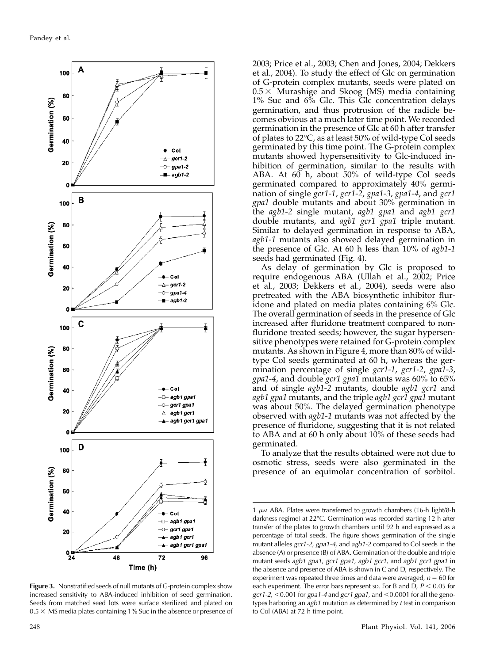

**Figure 3.** Nonstratified seeds of null mutants of G-protein complex show increased sensitivity to ABA-induced inhibition of seed germination. Seeds from matched seed lots were surface sterilized and plated on  $0.5 \times$  MS media plates containing 1% Suc in the absence or presence of

2003; Price et al., 2003; Chen and Jones, 2004; Dekkers et al., 2004). To study the effect of Glc on germination of G-protein complex mutants, seeds were plated on  $0.5 \times$  Murashige and Skoog (MS) media containing 1% Suc and 6% Glc. This Glc concentration delays germination, and thus protrusion of the radicle becomes obvious at a much later time point. We recorded germination in the presence of Glc at 60 h after transfer of plates to 22°C, as at least 50% of wild-type Col seeds germinated by this time point. The G-protein complex mutants showed hypersensitivity to Glc-induced inhibition of germination, similar to the results with ABA. At 60 h, about 50% of wild-type Col seeds germinated compared to approximately 40% germination of single gcr1-1, gcr1-2, gpa1-3, gpa1-4, and gcr1 gpa1 double mutants and about 30% germination in the agb1-2 single mutant, agb1 gpa1 and agb1 gcr1 double mutants, and agb1 gcr1 gpa1 triple mutant. Similar to delayed germination in response to ABA, agb1-1 mutants also showed delayed germination in the presence of Glc. At 60 h less than 10% of agb1-1 seeds had germinated (Fig. 4).

As delay of germination by Glc is proposed to require endogenous ABA (Ullah et al., 2002; Price et al., 2003; Dekkers et al., 2004), seeds were also pretreated with the ABA biosynthetic inhibitor fluridone and plated on media plates containing 6% Glc. The overall germination of seeds in the presence of Glc increased after fluridone treatment compared to nonfluridone treated seeds; however, the sugar hypersensitive phenotypes were retained for G-protein complex mutants. As shown in Figure 4, more than 80% of wildtype Col seeds germinated at 60 h, whereas the germination percentage of single gcr1-1, gcr1-2, gpa1-3, gpa1-4, and double gcr1 gpa1 mutants was 60% to 65% and of single agb1-2 mutants, double agb1 gcr1 and agb1 gpa1 mutants, and the triple agb1 gcr1 gpa1 mutant was about 50%. The delayed germination phenotype observed with agb1-1 mutants was not affected by the presence of fluridone, suggesting that it is not related to ABA and at 60 h only about 10% of these seeds had germinated.

To analyze that the results obtained were not due to osmotic stress, seeds were also germinated in the presence of an equimolar concentration of sorbitol.

 $1 \mu$ M ABA. Plates were transferred to growth chambers (16-h light/8-h darkness regime) at 22°C. Germination was recorded starting 12 h after transfer of the plates to growth chambers until 92 h and expressed as a percentage of total seeds. The figure shows germination of the single mutant alleles gcr1-2, gpa1-4, and agb1-2 compared to Col seeds in the absence (A) or presence (B) of ABA. Germination of the double and triple mutant seeds agb1 gpa1, gcr1 gpa1, agb1 gcr1, and agb1 gcr1 gpa1 in the absence and presence of ABA is shown in C and D, respectively. The experiment was repeated three times and data were averaged,  $n = 60$  for each experiment. The error bars represent sp. For B and D,  $P < 0.05$  for  $gcr1-2$ , <0.001 for gpa1-4 and  $gcr1$  gpa1, and <0.0001 for all the genotypes harboring an  $a$ gb1 mutation as determined by  $t$  test in comparison to Col (ABA) at 72 h time point.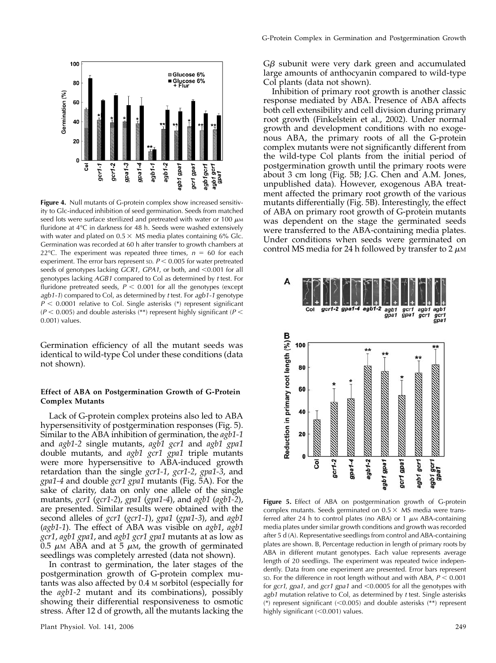

Figure 4. Null mutants of G-protein complex show increased sensitivity to Glc-induced inhibition of seed germination. Seeds from matched seed lots were surface sterilized and pretreated with water or 100  $\mu$ MM fluridone at 4°C in darkness for 48 h. Seeds were washed extensively with water and plated on  $0.5 \times$  MS media plates containing 6% Glc. Germination was recorded at 60 h after transfer to growth chambers at 22 °C. The experiment was repeated three times,  $n = 60$  for each experiment. The error bars represent  $SD$ .  $P < 0.005$  for water pretreated seeds of genotypes lacking GCR1, GPA1, or both, and <0.001 for all genotypes lacking AGB1 compared to Col as determined by t test. For fluridone pretreated seeds,  $P < 0.001$  for all the genotypes (except agb1-1) compared to Col, as determined by t test. For agb1-1 genotype  $P < 0.0001$  relative to Col. Single asterisks (\*) represent significant ( $P$  < 0.005) and double asterisks (\*\*) represent highly significant ( $P$  < 0.001) values.

Germination efficiency of all the mutant seeds was identical to wild-type Col under these conditions (data not shown).

#### Effect of ABA on Postgermination Growth of G-Protein Complex Mutants

Lack of G-protein complex proteins also led to ABA hypersensitivity of postgermination responses (Fig. 5). Similar to the ABA inhibition of germination, the agb1-1 and agb1-2 single mutants, agb1 gcr1 and agb1 gpa1 double mutants, and agb1 gcr1 gpa1 triple mutants were more hypersensitive to ABA-induced growth retardation than the single gcr1-1, gcr1-2, gpa1-3, and gpa1-4 and double gcr1 gpa1 mutants (Fig. 5A). For the sake of clarity, data on only one allele of the single mutants, gcr1 (gcr1-2), gpa1 (gpa1-4), and agb1 (agb1-2), are presented. Similar results were obtained with the second alleles of gcr1 (gcr1-1), gpa1 (gpa1-3), and agb1 (agb1-1). The effect of ABA was visible on agb1, agb1 gcr1, agb1 gpa1, and agb1 gcr1 gpa1 mutants at as low as 0.5  $\mu$ M ABA and at 5  $\mu$ M, the growth of germinated seedlings was completely arrested (data not shown).

In contrast to germination, the later stages of the postgermination growth of G-protein complex mutants was also affected by 0.4 M sorbitol (especially for the agb1-2 mutant and its combinations), possibly showing their differential responsiveness to osmotic stress. After 12 d of growth, all the mutants lacking the  $G\beta$  subunit were very dark green and accumulated large amounts of anthocyanin compared to wild-type Col plants (data not shown).

Inhibition of primary root growth is another classic response mediated by ABA. Presence of ABA affects both cell extensibility and cell division during primary root growth (Finkelstein et al., 2002). Under normal growth and development conditions with no exogenous ABA, the primary roots of all the G-protein complex mutants were not significantly different from the wild-type Col plants from the initial period of postgermination growth until the primary roots were about 3 cm long (Fig. 5B; J.G. Chen and A.M. Jones, unpublished data). However, exogenous ABA treatment affected the primary root growth of the various mutants differentially (Fig. 5B). Interestingly, the effect of ABA on primary root growth of G-protein mutants was dependent on the stage the germinated seeds were transferred to the ABA-containing media plates. Under conditions when seeds were germinated on control MS media for 24 h followed by transfer to 2  $\mu$ M



Figure 5. Effect of ABA on postgermination growth of G-protein complex mutants. Seeds germinated on  $0.5 \times M$ S media were transferred after 24 h to control plates (no ABA) or 1  $\mu$ M ABA-containing media plates under similar growth conditions and growth was recorded after 5 d (A). Representative seedlings from control and ABA-containing plates are shown. B, Percentage reduction in length of primary roots by ABA in different mutant genotypes. Each value represents average length of 20 seedlings. The experiment was repeated twice independently. Data from one experiment are presented. Error bars represent sp. For the difference in root length without and with ABA,  $P < 0.001$ for gcr1, gpa1, and gcr1 gpa1 and <0.0005 for all the genotypes with  $a$ gb1 mutation relative to Col, as determined by  $t$  test. Single asterisks (\*) represent significant  $(<0.005)$  and double asterisks (\*\*) represent highly significant  $(<0.001)$  values.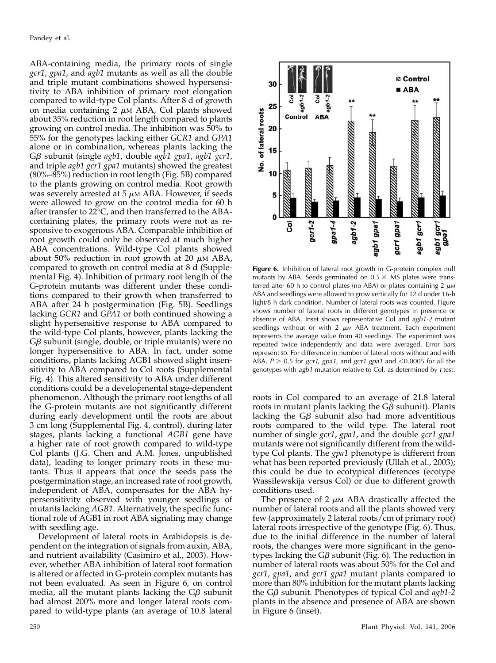ABA-containing media, the primary roots of single gcr1, gpa1, and agb1 mutants as well as all the double and triple mutant combinations showed hypersensitivity to ABA inhibition of primary root elongation compared to wild-type Col plants. After 8 d of growth on media containing  $2 \mu M$  ABA, Col plants showed about 35% reduction in root length compared to plants growing on control media. The inhibition was 50% to 55% for the genotypes lacking either GCR1 and GPA1 alone or in combination, whereas plants lacking the  $G\beta$  subunit (single agb1, double agb1 gpa1, agb1 gcr1, and triple *agb1 gcr1 gpa1* mutants) showed the greatest (80%–85%) reduction in root length (Fig. 5B) compared to the plants growing on control media. Root growth was severely arrested at  $5 \mu M$  ABA. However, if seeds were allowed to grow on the control media for 60 h after transfer to 22°C, and then transferred to the ABAcontaining plates, the primary roots were not as responsive to exogenous ABA. Comparable inhibition of root growth could only be observed at much higher ABA concentrations. Wild-type Col plants showed about 50% reduction in root growth at 20  $\mu$ M ABA, compared to growth on control media at 8 d (Supplemental Fig. 4). Inhibition of primary root length of the G-protein mutants was different under these conditions compared to their growth when transferred to ABA after 24 h postgermination (Fig. 5B). Seedlings lacking GCR1 and GPA1 or both continued showing a slight hypersensitive response to ABA compared to the wild-type Col plants, however, plants lacking the  $G\beta$  subunit (single, double, or triple mutants) were no longer hypersensitive to ABA. In fact, under some conditions, plants lacking AGB1 showed slight insensitivity to ABA compared to Col roots (Supplemental Fig. 4). This altered sensitivity to ABA under different conditions could be a developmental stage-dependent phenomenon. Although the primary root lengths of all the G-protein mutants are not significantly different during early development until the roots are about 3 cm long (Supplemental Fig. 4, control), during later stages, plants lacking a functional AGB1 gene have a higher rate of root growth compared to wild-type Col plants (J.G. Chen and A.M. Jones, unpublished data), leading to longer primary roots in these mutants. Thus it appears that once the seeds pass the postgermination stage, an increased rate of root growth, independent of ABA, compensates for the ABA hypersensitivity observed with younger seedlings of mutants lacking AGB1. Alternatively, the specific functional role of AGB1 in root ABA signaling may change with seedling age.

Development of lateral roots in Arabidopsis is dependent on the integration of signals from auxin, ABA, and nutrient availability (Casimiro et al., 2003). However, whether ABA inhibition of lateral root formation is altered or affected in G-protein complex mutants has not been evaluated. As seen in Figure 6, on control media, all the mutant plants lacking the  $G\beta$  subunit had almost 200% more and longer lateral roots compared to wild-type plants (an average of 10.8 lateral



Figure 6. Inhibition of lateral root growth in G-protein complex null mutants by ABA. Seeds germinated on  $0.5 \times$  MS plates were transferred after 60 h to control plates (no ABA) or plates containing 2  $\mu$ M ABA and seedlings were allowed to grow vertically for 12 d under 16-h light/8-h dark condition. Number of lateral roots was counted. Figure shows number of lateral roots in different genotypes in presence or absence of ABA. Inset shows representative Col and agb1-2 mutant seedlings without or with 2  $\mu$ M ABA treatment. Each experiment represents the average value from 40 seedlings. The experiment was repeated twice independently and data were averaged. Error bars represent sp. For difference in number of lateral roots without and with ABA,  $P > 0.5$  for gcr1, gpa1, and gcr1 gpa1 and <0.0005 for all the genotypes with agb1 mutation relative to Col, as determined by t test.

roots in Col compared to an average of 21.8 lateral roots in mutant plants lacking the  $G\beta$  subunit). Plants lacking the  $G\beta$  subunit also had more adventitious roots compared to the wild type. The lateral root number of single gcr1, gpa1, and the double gcr1 gpa1 mutants were not significantly different from the wildtype Col plants. The *gpa1* phenotype is different from what has been reported previously (Ullah et al., 2003); this could be due to ecotypical differences (ecotype Wassilewskija versus Col) or due to different growth conditions used.

The presence of 2  $\mu$ M ABA drastically affected the number of lateral roots and all the plants showed very few (approximately 2 lateral roots/cm of primary root) lateral roots irrespective of the genotype (Fig. 6). Thus, due to the initial difference in the number of lateral roots, the changes were more significant in the genotypes lacking the G $\beta$  subunit (Fig. 6). The reduction in number of lateral roots was about 50% for the Col and gcr1, gpa1, and gcr1 gpa1 mutant plants compared to more than 80% inhibition for the mutant plants lacking the  $G\beta$  subunit. Phenotypes of typical Col and  $a\alpha\beta$ 1-2 plants in the absence and presence of ABA are shown in Figure 6 (inset).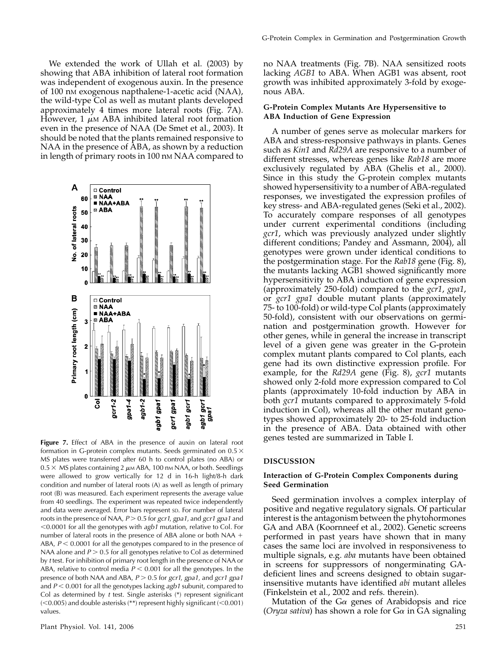We extended the work of Ullah et al. (2003) by showing that ABA inhibition of lateral root formation was independent of exogenous auxin. In the presence of 100 nM exogenous napthalene-1-acetic acid (NAA), the wild-type Col as well as mutant plants developed approximately 4 times more lateral roots (Fig. 7A). However, 1  $\mu$ M ABA inhibited lateral root formation even in the presence of NAA (De Smet et al., 2003). It should be noted that the plants remained responsive to NAA in the presence of ABA, as shown by a reduction in length of primary roots in 100 nm NAA compared to



Figure 7. Effect of ABA in the presence of auxin on lateral root formation in G-protein complex mutants. Seeds germinated on  $0.5 \times$ MS plates were transferred after 60 h to control plates (no ABA) or  $0.5 \times$  MS plates containing 2  $\mu$ M ABA, 100 nM NAA, or both. Seedlings were allowed to grow vertically for 12 d in 16-h light/8-h dark condition and number of lateral roots (A) as well as length of primary root (B) was measured. Each experiment represents the average value from 40 seedlings. The experiment was repeated twice independently and data were averaged. Error bars represent SD. For number of lateral roots in the presence of NAA,  $P > 0.5$  for gcr1, gpa1, and gcr1 gpa1 and  $<$  0.0001 for all the genotypes with agb1 mutation, relative to Col. For number of lateral roots in the presence of ABA alone or both NAA  $+$ ABA,  $P < 0.0001$  for all the genotypes compared to in the presence of NAA alone and  $P > 0.5$  for all genotypes relative to Col as determined by t test. For inhibition of primary root length in the presence of NAA or ABA, relative to control media  $P < 0.001$  for all the genotypes. In the presence of both NAA and ABA,  $P > 0.5$  for gcr1, gpa1, and gcr1 gpa1 and  $P < 0.001$  for all the genotypes lacking  $a$ gb1 subunit, compared to Col as determined by  $t$  test. Single asterisks  $(*)$  represent significant  $(<$  0.005) and double asterisks (\*\*) represent highly significant ( $<$  0.001) values.

no NAA treatments (Fig. 7B). NAA sensitized roots lacking AGB1 to ABA. When AGB1 was absent, root growth was inhibited approximately 3-fold by exogenous ABA.

#### G-Protein Complex Mutants Are Hypersensitive to ABA Induction of Gene Expression

A number of genes serve as molecular markers for ABA and stress-responsive pathways in plants. Genes such as Kin1 and Rd29A are responsive to a number of different stresses, whereas genes like Rab18 are more exclusively regulated by ABA (Ghelis et al., 2000). Since in this study the G-protein complex mutants showed hypersensitivity to a number of ABA-regulated responses, we investigated the expression profiles of key stress- and ABA-regulated genes (Seki et al., 2002). To accurately compare responses of all genotypes under current experimental conditions (including gcr1, which was previously analyzed under slightly different conditions; Pandey and Assmann, 2004), all genotypes were grown under identical conditions to the postgermination stage. For the Rab18 gene (Fig. 8), the mutants lacking AGB1 showed significantly more hypersensitivity to ABA induction of gene expression (approximately 250-fold) compared to the gcr1, gpa1, or gcr1 gpa1 double mutant plants (approximately 75- to 100-fold) or wild-type Col plants (approximately 50-fold), consistent with our observations on germination and postgermination growth. However for other genes, while in general the increase in transcript level of a given gene was greater in the G-protein complex mutant plants compared to Col plants, each gene had its own distinctive expression profile. For example, for the Rd29A gene (Fig. 8), gcr1 mutants showed only 2-fold more expression compared to Col plants (approximately 10-fold induction by ABA in both gcr1 mutants compared to approximately 5-fold induction in Col), whereas all the other mutant genotypes showed approximately 20- to 25-fold induction in the presence of ABA. Data obtained with other genes tested are summarized in Table I.

#### DISCUSSION

#### Interaction of G-Protein Complex Components during Seed Germination

Seed germination involves a complex interplay of positive and negative regulatory signals. Of particular interest is the antagonism between the phytohormones GA and ABA (Koornneef et al., 2002). Genetic screens performed in past years have shown that in many cases the same loci are involved in responsiveness to multiple signals, e.g. aba mutants have been obtained in screens for suppressors of nongerminating GAdeficient lines and screens designed to obtain sugarinsensitive mutants have identified abi mutant alleles (Finkelstein et al., 2002 and refs. therein).

Mutation of the  $Ga$  genes of Arabidopsis and rice (Oryza sativa) has shown a role for  $G\alpha$  in GA signaling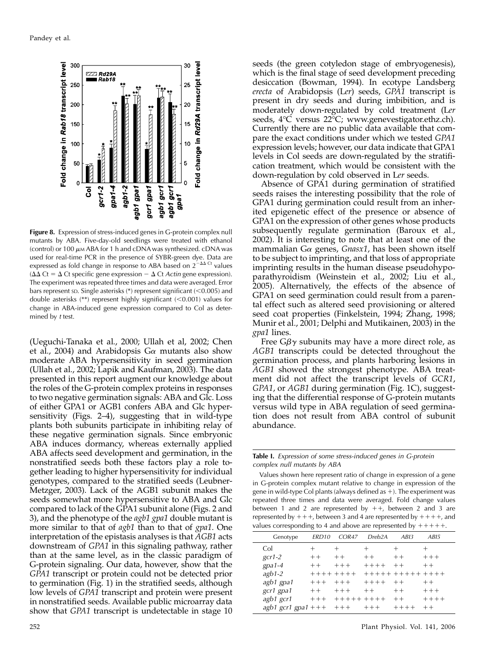

**Figure 8.** Expression of stress-induced genes in G-protein complex null mutants by ABA. Five-day-old seedlings were treated with ethanol (control) or 100  $\mu$ M ABA for 1 h and cDNA was synthesized. cDNA was used for real-time PCR in the presence of SYBR-green dye. Data are expressed as fold change in response to ABA based on  $2^{-\Delta\Delta}$  Ct values ( $\Delta\Delta$  Ct =  $\Delta$  Ct specific gene expression -  $\Delta$  Ct Actin gene expression). The experiment was repeated three times and data were averaged. Error bars represent  $SD$ . Single asterisks  $(*)$  represent significant ( $< 0.005$ ) and double asterisks  $(**)$  represent highly significant  $(<0.001)$  values for change in ABA-induced gene expression compared to Col as determined by  $t$  test.

(Ueguchi-Tanaka et al., 2000; Ullah et al, 2002; Chen et al., 2004) and Arabidopsis  $G_{\alpha}$  mutants also show moderate ABA hypersensitivity in seed germination (Ullah et al., 2002; Lapik and Kaufman, 2003). The data presented in this report augment our knowledge about the roles of the G-protein complex proteins in responses to two negative germination signals: ABA and Glc. Loss of either GPA1 or AGB1 confers ABA and Glc hypersensitivity (Figs. 2–4), suggesting that in wild-type plants both subunits participate in inhibiting relay of these negative germination signals. Since embryonic ABA induces dormancy, whereas externally applied ABA affects seed development and germination, in the nonstratified seeds both these factors play a role together leading to higher hypersensitivity for individual genotypes, compared to the stratified seeds (Leubner-Metzger, 2003). Lack of the AGB1 subunit makes the seeds somewhat more hypersensitive to ABA and Glc compared to lack of the GPA1 subunit alone (Figs. 2 and 3), and the phenotype of the *agb1 gpa1* double mutant is more similar to that of *agb1* than to that of *gpa1*. One interpretation of the epistasis analyses is that AGB1 acts downstream of GPA1 in this signaling pathway, rather than at the same level, as in the classic paradigm of G-protein signaling. Our data, however, show that the GPA1 transcript or protein could not be detected prior to germination (Fig. 1) in the stratified seeds, although low levels of GPA1 transcript and protein were present in nonstratified seeds. Available public microarray data show that GPA1 transcript is undetectable in stage 10 seeds (the green cotyledon stage of embryogenesis), which is the final stage of seed development preceding desiccation (Bowman, 1994). In ecotype Landsberg erecta of Arabidopsis (Ler) seeds, GPA1 transcript is present in dry seeds and during imbibition, and is moderately down-regulated by cold treatment (Ler seeds, 4°C versus 22°C; www.genevestigator.ethz.ch). Currently there are no public data available that compare the exact conditions under which we tested GPA1 expression levels; however, our data indicate that GPA1 levels in Col seeds are down-regulated by the stratification treatment, which would be consistent with the down-regulation by cold observed in Ler seeds.

Absence of GPA1 during germination of stratified seeds raises the interesting possibility that the role of GPA1 during germination could result from an inherited epigenetic effect of the presence or absence of GPA1 on the expression of other genes whose products subsequently regulate germination (Baroux et al., 2002). It is interesting to note that at least one of the mammalian G $\alpha$  genes, Gnasx1, has been shown itself to be subject to imprinting, and that loss of appropriate imprinting results in the human disease pseudohypoparathyroidism (Weinstein et al., 2002; Liu et al., 2005). Alternatively, the effects of the absence of GPA1 on seed germination could result from a parental effect such as altered seed provisioning or altered seed coat properties (Finkelstein, 1994; Zhang, 1998; Munir et al., 2001; Delphi and Mutikainen, 2003) in the gpa1 lines.

Free  $G\beta\gamma$  subunits may have a more direct role, as AGB1 transcripts could be detected throughout the germination process, and plants harboring lesions in AGB1 showed the strongest phenotype. ABA treatment did not affect the transcript levels of GCR1, GPA1, or AGB1 during germination (Fig. 1C), suggesting that the differential response of G-protein mutants versus wild type in ABA regulation of seed germination does not result from ABA control of subunit abundance.

Table I. Expression of some stress-induced genes in G-protein complex null mutants by ABA

Values shown here represent ratio of change in expression of a gene in G-protein complex mutant relative to change in expression of the gene in wild-type Col plants (always defined as  $+$ ). The experiment was repeated three times and data were averaged. Fold change values between 1 and 2 are represented by  $++$ , between 2 and 3 are represented by  $+++$ , between 3 and 4 are represented by  $+++$ , and values corresponding to 4 and above are represented by  $+++++$ .

| Genotype             | FRD <sub>10</sub> | COR47               | Dreb <sub>2</sub> A | AB13             | ABI5    |
|----------------------|-------------------|---------------------|---------------------|------------------|---------|
| Col                  | $^{+}$            | $^{+}$              | $^+$                |                  | $^+$    |
| $gcr1-2$             | $++$              | $++$                | $++$                | $++$             | $+ + +$ |
| $gpa1-4$             | $++$              | $+ + +$             | $+++++$             | $+ +$            | $++$    |
| $a$ gb1-2            | $++++++++$        |                     |                     | +++++ +++++ ++++ |         |
| agb1 gpa1            | $+ + +$           | $++++$              | $+++++$             | $++$             | $++$    |
| gcr1 gpa1            | $++$              | $+ + +$             | $+ +$               | $++$             | $+++$   |
| agb1 gcr1            | $++ +$            | $+ + + + + + + + +$ |                     | $++$             | $+++++$ |
| agb1 gcr1 gpa1 + + + |                   | $+ + +$             | $+ + +$             | $+++++$          | $+ +$   |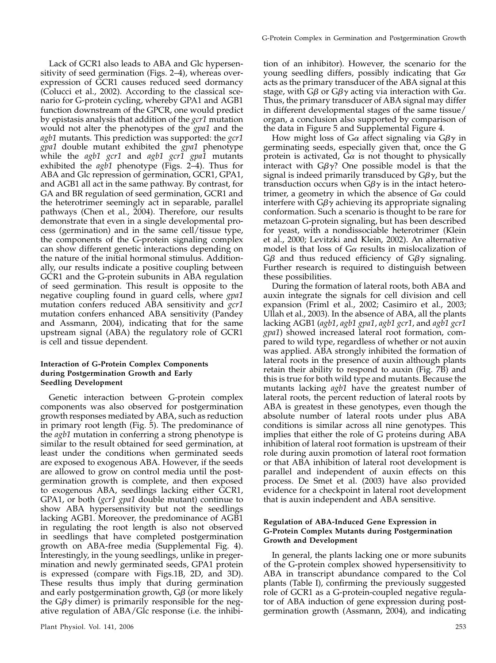Lack of GCR1 also leads to ABA and Glc hypersensitivity of seed germination (Figs. 2–4), whereas overexpression of GCR1 causes reduced seed dormancy (Colucci et al., 2002). According to the classical scenario for G-protein cycling, whereby GPA1 and AGB1 function downstream of the GPCR, one would predict by epistasis analysis that addition of the gcr1 mutation would not alter the phenotypes of the *gpa1* and the agb1 mutants. This prediction was supported: the gcr1 gpa1 double mutant exhibited the gpa1 phenotype while the agb1 gcr1 and agb1 gcr1 gpa1 mutants exhibited the  $a\alpha b1$  phenotype (Figs. 2–4). Thus for ABA and Glc repression of germination, GCR1, GPA1, and AGB1 all act in the same pathway. By contrast, for GA and BR regulation of seed germination, GCR1 and the heterotrimer seemingly act in separable, parallel pathways (Chen et al., 2004). Therefore, our results demonstrate that even in a single developmental process (germination) and in the same cell/tissue type, the components of the G-protein signaling complex can show different genetic interactions depending on the nature of the initial hormonal stimulus. Additionally, our results indicate a positive coupling between GCR1 and the G-protein subunits in ABA regulation of seed germination. This result is opposite to the negative coupling found in guard cells, where gpa1 mutation confers reduced ABA sensitivity and gcr1 mutation confers enhanced ABA sensitivity (Pandey and Assmann, 2004), indicating that for the same upstream signal (ABA) the regulatory role of GCR1 is cell and tissue dependent.

## Interaction of G-Protein Complex Components during Postgermination Growth and Early Seedling Development

Genetic interaction between G-protein complex components was also observed for postgermination growth responses mediated by ABA, such as reduction in primary root length (Fig. 5). The predominance of the agb1 mutation in conferring a strong phenotype is similar to the result obtained for seed germination, at least under the conditions when germinated seeds are exposed to exogenous ABA. However, if the seeds are allowed to grow on control media until the postgermination growth is complete, and then exposed to exogenous ABA, seedlings lacking either GCR1, GPA1, or both (gcr1 gpa1 double mutant) continue to show ABA hypersensitivity but not the seedlings lacking AGB1. Moreover, the predominance of AGB1 in regulating the root length is also not observed in seedlings that have completed postgermination growth on ABA-free media (Supplemental Fig. 4). Interestingly, in the young seedlings, unlike in pregermination and newly germinated seeds, GPA1 protein is expressed (compare with Figs.1B, 2D, and 3D). These results thus imply that during germination and early postgermination growth,  $G\beta$  (or more likely the  $G\beta\gamma$  dimer) is primarily responsible for the negative regulation of ABA/Glc response (i.e. the inhibi-

tion of an inhibitor). However, the scenario for the young seedling differs, possibly indicating that  $Ga$ acts as the primary transducer of the ABA signal at this stage, with  $G\beta$  or  $G\beta\gamma$  acting via interaction with  $G\alpha$ . Thus, the primary transducer of ABA signal may differ in different developmental stages of the same tissue/ organ, a conclusion also supported by comparison of the data in Figure 5 and Supplemental Figure 4.

How might loss of G $\alpha$  affect signaling via G $\beta\gamma$  in germinating seeds, especially given that, once the G protein is activated,  $G\alpha$  is not thought to physically interact with  $G\beta\gamma$ ? One possible model is that the signal is indeed primarily transduced by  $G\beta\gamma$ , but the transduction occurs when  $G\beta\gamma$  is in the intact heterotrimer, a geometry in which the absence of  $G\alpha$  could interfere with  $G\beta\gamma$  achieving its appropriate signaling conformation. Such a scenario is thought to be rare for metazoan G-protein signaling, but has been described for yeast, with a nondissociable heterotrimer (Klein et al., 2000; Levitzki and Klein, 2002). An alternative model is that loss of  $G\alpha$  results in mislocalization of G $\beta$  and thus reduced efficiency of G $\beta\gamma$  signaling. Further research is required to distinguish between these possibilities.

During the formation of lateral roots, both ABA and auxin integrate the signals for cell division and cell expansion (Friml et al., 2002; Casimiro et al., 2003; Ullah et al., 2003). In the absence of ABA, all the plants lacking AGB1 (agb1, agb1 gpa1, agb1 gcr1, and agb1 gcr1 gpa1) showed increased lateral root formation, compared to wild type, regardless of whether or not auxin was applied. ABA strongly inhibited the formation of lateral roots in the presence of auxin although plants retain their ability to respond to auxin (Fig. 7B) and this is true for both wild type and mutants. Because the mutants lacking *agb1* have the greatest number of lateral roots, the percent reduction of lateral roots by ABA is greatest in these genotypes, even though the absolute number of lateral roots under plus ABA conditions is similar across all nine genotypes. This implies that either the role of G proteins during ABA inhibition of lateral root formation is upstream of their role during auxin promotion of lateral root formation or that ABA inhibition of lateral root development is parallel and independent of auxin effects on this process. De Smet et al. (2003) have also provided evidence for a checkpoint in lateral root development that is auxin independent and ABA sensitive.

### Regulation of ABA-Induced Gene Expression in G-Protein Complex Mutants during Postgermination Growth and Development

In general, the plants lacking one or more subunits of the G-protein complex showed hypersensitivity to ABA in transcript abundance compared to the Col plants (Table I), confirming the previously suggested role of GCR1 as a G-protein-coupled negative regulator of ABA induction of gene expression during postgermination growth (Assmann, 2004), and indicating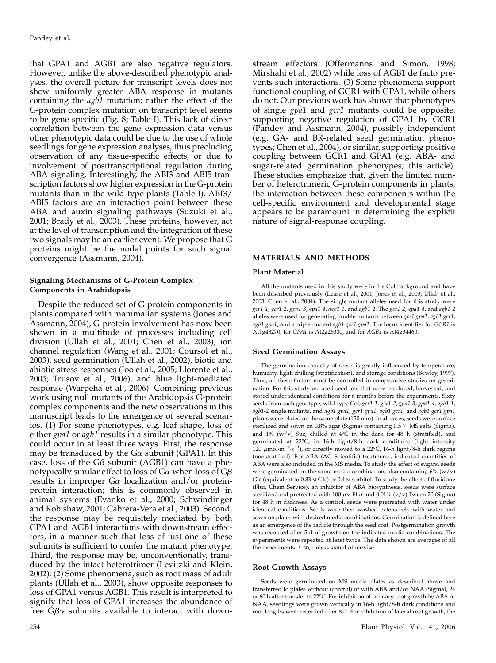that GPA1 and AGB1 are also negative regulators. However, unlike the above-described phenotypic analyses, the overall picture for transcript levels does not show uniformly greater ABA response in mutants containing the agb1 mutation; rather the effect of the G-protein complex mutation on transcript level seems to be gene specific (Fig. 8; Table I). This lack of direct correlation between the gene expression data versus other phenotypic data could be due to the use of whole seedlings for gene expression analyses, thus precluding observation of any tissue-specific effects, or due to involvement of posttranscriptional regulation during ABA signaling. Interestingly, the ABI3 and ABI5 transcription factors show higher expression in the G-protein mutants than in the wild-type plants (Table I). ABI3/ ABI5 factors are an interaction point between these ABA and auxin signaling pathways (Suzuki et al., 2001; Brady et al., 2003). These proteins, however, act at the level of transcription and the integration of these two signals may be an earlier event. We propose that G proteins might be the nodal points for such signal convergence (Assmann, 2004).

#### Signaling Mechanisms of G-Protein Complex Components in Arabidopsis

Despite the reduced set of G-protein components in plants compared with mammalian systems (Jones and Assmann, 2004), G-protein involvement has now been shown in a multitude of processes including cell division (Ullah et al., 2001; Chen et al., 2003), ion channel regulation (Wang et al., 2001; Coursol et al., 2003), seed germination (Ullah et al., 2002), biotic and abiotic stress responses (Joo et al., 2005; Llorente et al., 2005; Trusov et al., 2006), and blue light-mediated response (Warpeha et al., 2006). Combining previous work using null mutants of the Arabidopsis G-protein complex components and the new observations in this manuscript leads to the emergence of several scenarios. (1) For some phenotypes, e.g. leaf shape, loss of either *gpa1* or *agb1* results in a similar phenotype. This could occur in at least three ways. First, the response may be transduced by the G $\alpha$  subunit (GPA1). In this case, loss of the  $G\beta$  subunit (AGB1) can have a phenotypically similar effect to loss of  $G\alpha$  when loss of  $G\beta$ results in improper  $G\alpha$  localization and/or proteinprotein interaction; this is commonly observed in animal systems (Evanko et al., 2000; Schwindinger and Robishaw, 2001; Cabrera-Vera et al., 2003). Second, the response may be requisitely mediated by both GPA1 and AGB1 interactions with downstream effectors, in a manner such that loss of just one of these subunits is sufficient to confer the mutant phenotype. Third, the response may be, unconventionally, transduced by the intact heterotrimer (Levitzki and Klein, 2002). (2) Some phenomena, such as root mass of adult plants (Ullah et al., 2003), show opposite responses to loss of GPA1 versus AGB1. This result is interpreted to signify that loss of GPA1 increases the abundance of free  $G\beta\gamma$  subunits available to interact with down-

stream effectors (Offermanns and Simon, 1998; Mirshahi et al., 2002) while loss of AGB1 de facto prevents such interactions. (3) Some phenomena support functional coupling of GCR1 with GPA1, while others do not. Our previous work has shown that phenotypes of single *gpa1* and *gcr1* mutants could be opposite, supporting negative regulation of GPA1 by GCR1 (Pandey and Assmann, 2004), possibly independent (e.g. GA- and BR-related seed germination phenotypes; Chen et al., 2004), or similar, supporting positive coupling between GCR1 and GPA1 (e.g. ABA- and sugar-related germination phenotypes; this article). These studies emphasize that, given the limited number of heterotrimeric G-protein components in plants, the interaction between these components within the cell-specific environment and developmental stage appears to be paramount in determining the explicit nature of signal-response coupling.

#### MATERIALS AND METHODS

## Plant Material

All the mutants used in this study were in the Col background and have been described previously (Lease et al., 2001; Jones et al., 2003; Ullah et al., 2003; Chen et al., 2004). The single mutant alleles used for this study were gcr1-1, gcr1-2, gpa1-3, gpa1-4, agb1-1, and agb1-2. The gcr1-2, gpa1-4, and agb1-2 alleles were used for generating double mutants between gcr1 gpa1, agb1 gcr1, agb1 gpa1, and a triple mutant agb1 gcr1 gpa1. The locus identifier for GCR1 is At1g48270, for GPA1 is At2g26300, and for AGB1 is At4g34460.

#### Seed Germination Assays

The germination capacity of seeds is greatly influenced by temperature, humidity, light, chilling (stratification), and storage conditions (Bewley, 1997). Thus, all these factors must be controlled in comparative studies on germination. For this study we used seed lots that were produced, harvested, and stored under identical conditions for 6 months before the experiments. Sixty seeds from each genotype, wild-type Col, gcr1-1, gcr1-2, gpa1-3, gpa1-4, agb1-1, agb1-2 single mutants, and agb1 gpa1, gcr1 gpa1, agb1 gcr1, and agb1 gcr1 gpa1 plants were plated on the same plate (150 mm). In all cases, seeds were surface sterilized and sown on  $0.8\%$  agar (Sigma) containing  $0.5 \times$  MS salts (Sigma), and  $1\%$  (w/v) Suc, chilled at  $4^{\circ}$ C in the dark for  $48$  h (stratified), and germinated at 22°C, in 16-h light/8-h dark conditions (light intensity 120  $\mu$ mol·m<sup>-2</sup>·s<sup>-1</sup>), or directly moved to a 22°C, 16-h light/8-h dark regime (nonstratified). For ABA (AG Scientific) treatments, indicated quantities of ABA were also included in the MS media. To study the effect of sugars, seeds were germinated on the same media combination, also containing 6% (w/v) Glc (equivalent to 0.33 M Glc) or 0.4 M sorbitol. To study the effect of fluridone (Flur, Chem Service), an inhibitor of ABA biosynthesis, seeds were surface sterilized and pretreated with 100  $\mu$ M Flur and 0.01% (v/v) Tween 20 (Sigma) for 48 h in darkness. As a control, seeds were pretreated with water under identical conditions. Seeds were then washed extensively with water and sown on plates with desired media combinations. Germination is defined here as an emergence of the radicle through the seed coat. Postgermination growth was recorded after 5 d of growth on the indicated media combinations. The experiments were repeated at least twice. The data shown are averages of all the experiments  $\pm$  sD, unless stated otherwise.

#### Root Growth Assays

Seeds were germinated on MS media plates as described above and transferred to plates without (control) or with ABA and/or NAA (Sigma), 24 or 60 h after transfer to 22-C. For inhibition of primary root growth by ABA or NAA, seedlings were grown vertically in 16-h light/8-h dark conditions and root lengths were recorded after 8 d. For inhibition of lateral root growth, the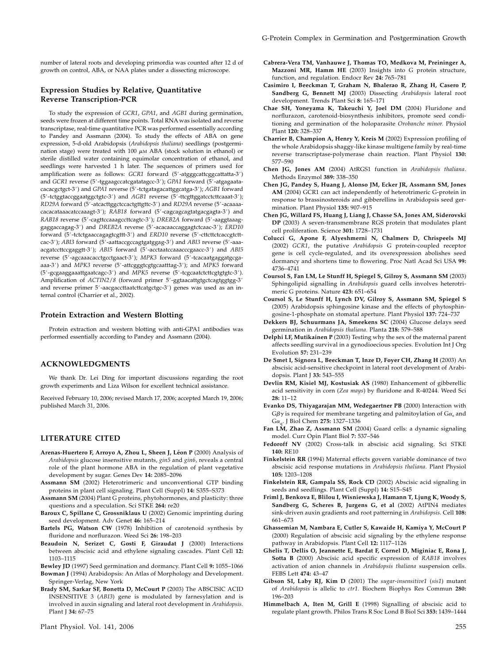number of lateral roots and developing primordia was counted after 12 d of growth on control, ABA, or NAA plates under a dissecting microscope.

#### Expression Studies by Relative, Quantitative Reverse Transcription-PCR

To study the expression of GCR1, GPA1, and AGB1 during germination, seeds were frozen at different time points. Total RNA was isolated and reverse transcriptase, real-time quantitative PCR was performed essentially according to Pandey and Assmann (2004). To study the effects of ABA on gene expression, 5-d-old Arabidopsis (Arabidopsis thaliana) seedlings (postgermination stage) were treated with 100  $\mu$ M ABA (stock solution in ethanol) or sterile distilled water containing equimolar concentration of ethanol, and seedlings were harvested 1 h later. The sequences of primers used for amplification were as follows: GCR1 forward (5'-atgggcattcggcattatta-3') and GCR1 reverse (5'-tggaagccatcgatatagcc-3'); GPA1 forward (5'-atgagaatacacacgctgct-3') and GPA1 reverse (5'-tctgatagacattggcatga-3'); AGB1 forward (5'-tctggtaccggaatggctgtc-3') and AGB1 reverse (5'-ttcgttggatcctcttcaaat-3'); RD29A forward (5'-atcacttggctccactgttgttc-3') and RD29A reverse (5'-acaaaacacacataaacatccaaagt-3'); RAB18 forward (5'-cagcagcagtatgacgagta-3') and RAB18 reverse (5'-cagttccaaagccttcagtc-3'); DREB2A forward (5'-aaggtaaaggaggaccagag-3') and DREB2A reverse (5'-acacaaccaggagtctcaac-3'); ERD10 forward (5'-tctctgaaccagagtcgttt-3') and ERD10 reverse (5'-cttcttctcaccgtcttcac-3'); ABI3 forward (5'-aattaccgccagtgatggag-3') and ABI3 reverse (5'-aaaacgatccttccgaggtt-3'); ABI5 forward (5'-acctaatccaaacccgaacc-3') and ABI5 reverse (5'-agcaaacacctgcctgaact-3'); MPK3 forward (5'-tcacaatgaggatgcgaaaa-3') and MPK3 reverse (5'-attcgggtcgtgcaatttag-3'); and MPK5 forward (5'-gcgaaggaaattgaatcagc-3') and MPK5 reverse (5'-tcgcaatctcttcgtgtgtc-3'). Amplification of ACTIN2/8 (forward primer 5'-ggtaacattgtgctcagtggtgg-3' and reverse primer 5'-aacgaccttaatcttcatgctgc-3') genes was used as an internal control (Charrier et al., 2002).

#### Protein Extraction and Western Blotting

Protein extraction and western blotting with anti-GPA1 antibodies was performed essentially according to Pandey and Assmann (2004).

#### ACKNOWLEDGMENTS

We thank Dr. Lei Ding for important discussions regarding the root growth experiments and Liza Wilson for excellent technical assistance.

Received February 10, 2006; revised March 17, 2006; accepted March 19, 2006; published March 31, 2006.

### LITERATURE CITED

- Arenas-Huertero F, Arroyo A, Zhou L, Sheen J, Léon P (2000) Analysis of Arabidopsis glucose insensitive mutants, gin5 and gin6, reveals a central role of the plant hormone ABA in the regulation of plant vegetative development by sugar. Genes Dev 14: 2085–2096
- Assmann SM (2002) Heterotrimeric and unconventional GTP binding proteins in plant cell signaling. Plant Cell (Suppl) 14: S355–S373
- Assmann SM (2004) Plant G proteins, phytohormones, and plasticity: three questions and a speculation. Sci STKE 264: re20
- Baroux C, Spillane C, Grossniklaus U (2002) Genomic imprinting during seed development. Adv Genet 46: 165–214
- Bartels PG, Watson CW (1978) Inhibition of carotenoid synthesis by fluridone and norflurazon. Weed Sci 26: 198–203
- Beaudoin N, Serizet C, Gosti F, Giraudat J (2000) Interactions between abscisic acid and ethylene signaling cascades. Plant Cell 12: 1103–1115
- Bewley JD (1997) Seed germination and dormancy. Plant Cell 9: 1055–1066 Bowman J (1994) Arabidopsis: An Atlas of Morphology and Development.
- Springer-Verlag, New York
- Brady SM, Sarkar SF, Bonetta D, McCourt P (2003) The ABSCISIC ACID INSENSITIVE 3 (ABI3) gene is modulated by farnesylation and is involved in auxin signaling and lateral root development in Arabidopsis. Plant J 34: 67–75
- Cabrera-Vera TM, Vanhauwe J, Thomas TO, Medkova M, Preininger A, Mazzoni MR, Hamm HE (2003) Insights into G protein structure, function, and regulation. Endocr Rev 24: 765–781
- Casimiro I, Beeckman T, Graham N, Bhalerao R, Zhang H, Casero P, Sandberg G, Bennett MJ (2003) Dissecting Arabidopsis lateral root development. Trends Plant Sci 8: 165–171
- Chae SH, Yoneyama K, Takeuchi Y, Joel DM (2004) Fluridone and norflurazon, carotenoid-biosynthesis inhibitors, promote seed conditioning and germination of the holoparasite Orobanche minor. Physiol Plant 120: 328–337
- Charrier B, Champion A, Henry Y, Kreis M (2002) Expression profiling of the whole Arabidopsis shaggy-like kinase multigene family by real-time reverse transcriptase-polymerase chain reaction. Plant Physiol 130: 577–590
- Chen JG, Jones AM (2004) AtRGS1 function in Arabidopsis thaliana. Methods Enzymol 389: 338–350
- Chen JG, Pandey S, Huang J, Alonso JM, Ecker JR, Assmann SM, Jones AM (2004) GCR1 can act independently of heterotrimeric G-protein in response to brassinosteroids and gibberellins in Arabidopsis seed germination. Plant Physiol 135: 907–915
- Chen JG, Willard FS, Huang J, Liang J, Chasse SA, Jones AM, Siderovski DP (2003) A seven-transmembrane RGS protein that modulates plant cell proliferation. Science 301: 1728–1731
- Colucci G, Apone F, Alyeshmerni N, Chalmers D, Chrispeels MJ (2002) GCR1, the putative Arabidopsis G protein-coupled receptor gene is cell cycle-regulated, and its overexpression abolishes seed dormancy and shortens time to flowering. Proc Natl Acad Sci USA 99: 4736–4741
- Coursol S, Fan LM, Le Stunff H, Spiegel S, Gilroy S, Assmann SM (2003) Sphingolipid signalling in Arabidopsis guard cells involves heterotrimeric G proteins. Nature 423: 651–654
- Coursol S, Le Stunff H, Lynch DV, Gilroy S, Assmann SM, Spiegel S (2005) Arabidopsis sphingosine kinase and the effects of phytosphingosine-1-phosphate on stomatal aperture. Plant Physiol 137: 724–737
- Dekkers BJ, Schuurmans JA, Smeekens SC (2004) Glucose delays seed germination in Arabidopsis thaliana. Planta 218: 579–588
- Delphi LF, Mutikainen P (2003) Testing why the sex of the maternal parent affects seedling survival in a gynodioecious species. Evolution Int J Org Evolution 57: 231–239
- De Smet I, Signora L, Beeckman T, Inze D, Foyer CH, Zhang H (2003) An abscisic acid-sensitive checkpoint in lateral root development of Arabidopsis. Plant J 33: 543–555
- Devlin RM, Kisiel MJ, Kostusiak AS (1980) Enhancement of gibberellic acid sensitivity in corn (Zea mays) by fluridone and R-40244. Weed Sci 28: 11–12
- Evanko DS, Thiyagarajan MM, Wedegaertner PB (2000) Interaction with  $G\beta\gamma$  is required for membrane targeting and palmitoylation of  $G\alpha_s$  and  $Ga<sub>a</sub>$ . J Biol Chem 275: 1327–1336
- Fan LM, Zhao Z, Assmann SM (2004) Guard cells: a dynamic signaling model. Curr Opin Plant Biol 7: 537–546
- Fedoroff NV (2002) Cross-talk in abscisic acid signaling. Sci STKE 140: RE10
- Finkelstein RR (1994) Maternal effects govern variable dominance of two abscisic acid response mutations in Arabidopsis thaliana. Plant Physiol 105: 1203–1208
- Finkelstein RR, Gampala SS, Rock CD (2002) Abscisic acid signaling in seeds and seedlings. Plant Cell (Suppl) 14: S15–S45
- Friml J, Benkova E, Blilou I, Wisniewska J, Hamann T, Ljung K, Woody S, Sandberg G, Scheres B, Jurgens G, et al (2002) AtPIN4 mediates sink-driven auxin gradients and root patterning in Arabidopsis. Cell 108: 661–673
- Ghassemian M, Nambara E, Cutler S, Kawaide H, Kamiya Y, McCourt P (2000) Regulation of abscisic acid signaling by the ethylene response pathway in Arabidopsis. Plant Cell 12: 1117–1126
- Ghelis T, Dellis O, Jeannette E, Bardat F, Cornel D, Miginiac E, Rona J, Sotta B (2000) Abscisic acid specific expression of RAB18 involves activation of anion channels in Arabidopsis thaliana suspension cells. FEBS Lett 474: 43–47
- Gibson SI, Laby RJ, Kim D (2001) The sugar-insensitive1 (sis1) mutant of Arabidopsis is allelic to ctr1. Biochem Biophys Res Commun 280: 196–203
- Himmelbach A, Iten M, Grill E (1998) Signalling of abscisic acid to regulate plant growth. Philos Trans R Soc Lond B Biol Sci 353: 1439–1444